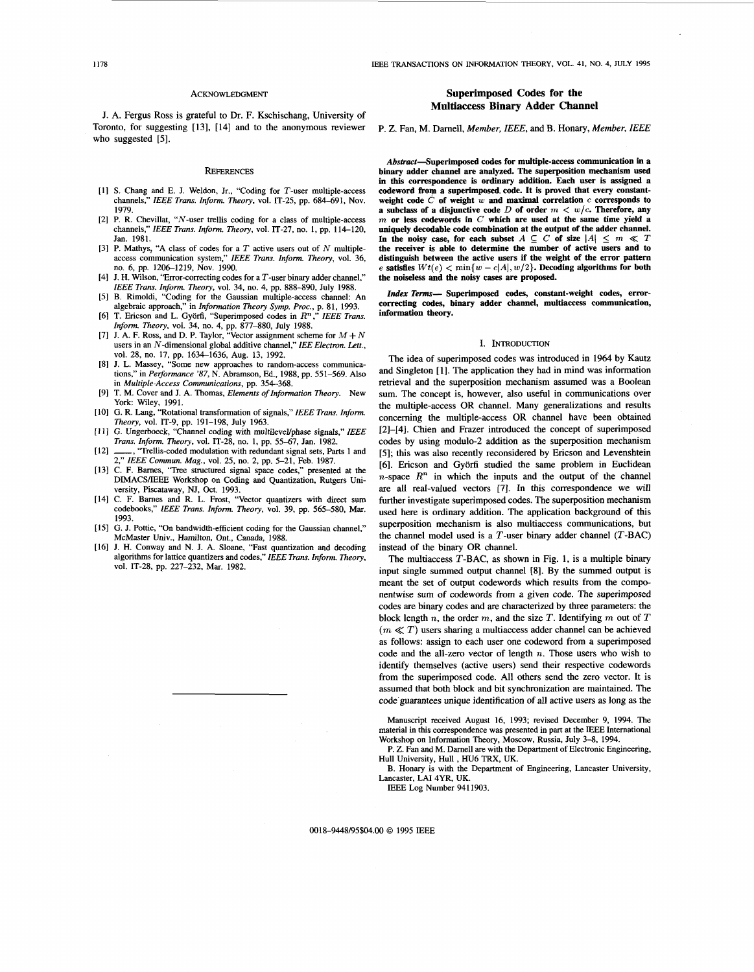## ACKNOWLEDGMENT

J. A. Fergus Ross is grateful to Dr. F. Kschischang, University of Toronto, for suggesting **[13], [14]** and to the anonymous reviewer who suggested [5].

#### **REFERENCES**

- [1] S. Chang and E. J. Weldon, Jr., "Coding for T-user multiple-access channels," *IEEE Trans. Inform. Theory*, vol. IT-25, pp. 684-691, Nov. 1979.
- [2] P. R. Chevillat, "N-user trellis coding for a class of multiple-access channels," *IEEE Trans. Inform. Theory*, vol. IT-27, no. 1, pp. 114-120, Jan. 1981.
- **P.** Mathys, "A class of codes for a *T* active users out of N multipleaccess communication system," *IEEE Trans. Inform. Theory*, vol. 36, no. 6, pp. 1206-1219, Nov. 1990.
- [4] J. H. Wilson, "Error-correcting codes for a  $T$ -user binary adder channel," *IEEE Trans. Inform. Theory, vol.* 34, no. 4, pp. 888-890, July 1988.
- $[5]$ B. Rimoldi, "Coding for the Gaussian multiple-access channel: An algebraic approach," in *Information Theory Symp. Proc.*, p. 81, 1993.<br>T. Ericson and L. Györfi, "Superimposed codes in *R<sup>n</sup>*," *IEEE Trans.*
- *Inform. Theory, vol.* 34, no. 4, pp. 877–880, July 1988.<br>J. A. F. Ross, and D. P. Taylor, "Vector assignment scheme for  $M + N$
- users in an N-dimensional global additive channel," *IEE Electron. Lett.,*  vol. 28, no. 17, pp. 1634-1636, Aug. 13, 1992.
- J. L. Massey, "Some new approaches to random-access communications," in *Performance* '87, N. Abramson, Ed., 1988, pp. 551–569. Also in *Multiple-Access Communications,* pp. 354-368.
- T. M. Cover and J. A. Thomas, *Elements of Informution Theory.* New York: Wiley, 1991.
- [10] G. R. Lang, "Rotational transformation of signals," *IEEE Trans. Inform. Theory,* vol. IT-9, pp. 191-198, July 1963. G. Ungerboeck, "Channel coding with multileveVphase signals,'' *ZEEE*
- *Trans. Inform. Theory,* vol. IT-28, no. 1, pp. 55-67, Jan. 1982.
- $[12]$ "Trellis-coded modulation with redundant signal sets, Parts 1 and 2," *ZEEE Commun. Mag.,* vol. 25, no. 2, pp. 5-21, Feb. 1987.
- C. F. Barnes, "Tree structured signal space codes," presented at the DIMACSlIEEE Workshop on Coding and Quantization, Rutgers University, Piscataway, NJ, Oct. 1993.<br>[14] C. F. Barnes and R. L. Frost, "Vector quantizers with direct sum
- codebooks," IEEE Trans. Inform. Theory, vol. 39, pp. 565-580, Mar. 1993.
- [15] G. J. Pottie, "On bandwidth-efficient coding for the Gaussian channel," McMaster Univ., Hamilton, Ont., Canada, 1988.
- [16] J. H. Conway and N. J. A. Sloane, "Fast quantization and decoding algorithms for lattice quantizers and codes," *IEEE Trans. Inform. Theory,*  vol. IT-28, pp. 227-232, Mar. 1982.

# **Superimposed Codes for the Multiaccess Binary Adder Channel**

P. Z. Fan, M. Darnell, *Member,* IEEE, and B. Honary, *Member,* IEEE

Abstract-Superimposed codes for multiple-access communication in a **binary adder channel are analyzed. The superposition mechanism used in this correspondence is ordinary addition. Each user is assigned a**  codeword from a superimposed code. It is proved that every constantweight code  $\hat{C}$  of weight  $\hat{w}$  and maximal correlation  $\hat{c}$  corresponds to **a** subclass of a disjunctive code  $D$  of order  $m < w/c$ . Therefore, any *m* **or less codewords in** *C* **which are** used **at the same time yield a uniquely decodable code combination at the output of the adder channel.**  In the noisy case, for each subset  $A \subseteq C$  of size  $|A| \le m \ll T$ **the receiver** is **able to determine the number of active users and to distinguish between the active users if the weight of the error pattern exatisfies**  $Wt(e) < \min\{w - c|A|, w/2\}$ . Decoding algorithms for both **the noiseless and the noisy** *cases* **are proposed.** 

**Zndex** *Terms-* **Superimposed codes, constant-weight codes, errorcorrecting** *codes,* **binary adder channel, multiaccess communication, information theory.** 

## **I. INTRODUCTION**

The idea of superimposed codes was introduced in 1964 by Kautz and Singleton **[l].** The application they had in mind was information retrieval and the superposition mechanism assumed was a Boolean sum. The concept is, however, also useful in communications over the multiple-access OR channel. Many generalizations and results concerning the multiple-access OR channel have been obtained **[2]-[4].** Chien and Frazer introduced the concept of superimposed codes by using modulo-2 addition as the superposition mechanism **[5];** this was also recently reconsidered by Ericson and Levenshtein **[6].** Ericson and Gyorfi studied the same problem in Euclidean  $n$ -space  $R<sup>n</sup>$  in which the inputs and the output of the channel are all real-valued vectors [7]. In this correspondence we will further investigate superimposed codes. The superposition mechanism used here is ordinary addition. The application background of this superposition mechanism is also multiaccess communications, but the channel model used is a  $T$ -user binary adder channel  $(T-BAC)$ instead of the binary OR channel.

The multiaccess  $T$ -BAC, as shown in Fig. 1, is a multiple binary input single summed output channel **[8].** By the summed output is meant the set of output codewords which results from the componentwise sum of codewords from a given code. The superimposed codes are binary codes and are characterized by three parameters: the block length  $n$ , the order  $m$ , and the size  $T$ . Identifying  $m$  out of  $T$  $(m \ll T)$  users sharing a multiaccess adder channel can be achieved as follows: assign to each user one codeword from a superimposed code and the all-zero vector of length  $n$ . Those users who wish to identify themselves (active users) send their respective codewords from the superimposed code. All others send the zero vector. It is assumed that both block and bit synchronization are maintained. The code guarantees unique identification of all active users as long as the

Manuscript received August 16, 1993; revised December 9, 1994. The material in this correspondence was presented in part at the IEEE International Workshop on Information Theory, Moscow, Russia, July 3-8, 1994.

**P.** Z. Fan and M. Darnell are with the Department of Electronic Engineering, Hull University, Hull , HU6 TRX, UK.

B. Honary is with the Department of Engineering, Lancaster University, Lancaster, LAI 4YR, UK.

IEEE Log Number 941 1903.

0018-9448/95\$04.00 *0* 1995 IEEE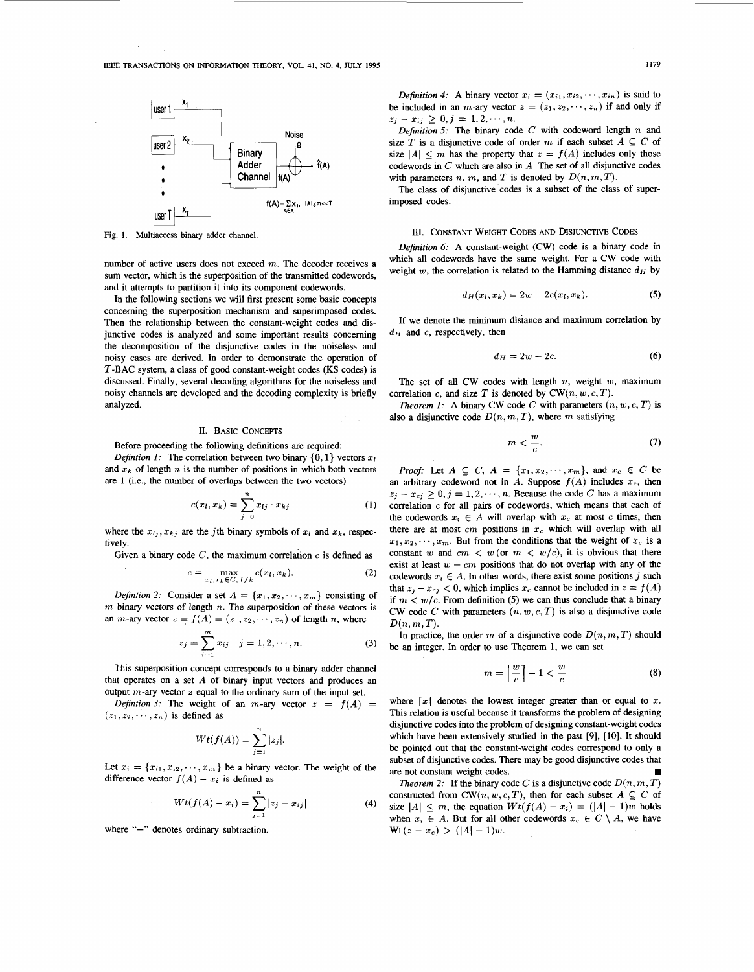

**Fig. 1. Multiaccess binary adder channel.** 

number of active users does not exceed  $m$ . The decoder receives a sum vector, which is the superposition of the transmitted codewords, and it attempts to partition it into its component codewords.

In the following sections we will first present some basic concepts concerning the superposition mechanism and superimposed codes. Then the relationship between the constant-weight codes and disjunctive codes is analyzed and some important results concerning the decomposition of the disjunctive codes in the noiseless and noisy cases are derived. In order to demonstrate the operation of T-BAC system, a class of good constant-weight codes (KS codes) is discussed. Finally, several decoding algorithms for the noiseless and noisy channels are developed and the decoding complexity is briefly analyzed.

# II. BASIC CONCEPTS

Before proceeding the following definitions are required

*Defintion 1:* The correlation between two binary  $\{0, 1\}$  vectors  $x_l$ and  $x_k$  of length *n* is the number of positions in which both vectors are **1** (i.e., the number of overlaps between the two vectors)

$$
c(x_l, x_k) = \sum_{j=0}^{n} x_{lj} \cdot x_{kj}
$$
 (1)

where the  $x_{1i}$ ,  $x_{ki}$  are the *j*th binary symbols of  $x_i$  and  $x_k$ , respectively.

Given a binary code  $C$ , the maximum correlation  $c$  is defined as

$$
c = \max_{x_l, x_k \in C, l \neq k} c(x_l, x_k). \tag{2}
$$

*Defintion 2:* Consider a set  $A = \{x_1, x_2, \dots, x_m\}$  consisting of **m** binary vectors of length n. The superposition of these vectors is an *m*-ary vector  $z = f(A) = (z_1, z_2, \dots, z_n)$  of length *n*, where

$$
z_j = \sum_{i=1}^{m} x_{ij} \quad j = 1, 2, \cdots, n. \tag{3}
$$

This superposition concept corresponds to a binary adder channel that operates on a set  $A$  of binary input vectors and produces an output m-ary vector *z* equal to the ordinary sum of the input set.

*Defintion 3:* The weight of an *m*-ary vector  $z = f(A)$  =  $(z_1, z_2, \dots, z_n)$  is defined as

$$
Wt(f(A))=\sum_{j=1}^n|z_j|.
$$

Let  $x_i = \{x_{i1}, x_{i2}, \dots, x_{in}\}$  be a binary vector. The weight of the difference vector  $f(A) - x_i$  is defined as

$$
Wt(f(A) - x_i) = \sum_{j=1}^{n} |z_j - x_{ij}|
$$
 (4)

where "-" denotes ordinary subtraction.

*Definition 4:* A binary vector  $x_i = (x_{i1}, x_{i2}, \dots, x_{in})$  is said to be included in an *m*-ary vector  $z = (z_1, z_2, \dots, z_n)$  if and only if  $z_j - x_{ij} \geq 0, j = 1, 2, \dots, n$ .

*Definition 5:* The binary code  $C$  with codeword length  $n$  and size T is a disjunctive code of order m if each subset  $A \subseteq C$  of size  $|A| \leq m$  has the property that  $z = f(A)$  includes only those codewords in *C* which are also in A. The set of all disjunctive codes with parameters n, m, and T is denoted by  $D(n, m, T)$ .

The class of disjunctive codes is a subset of the class of superimposed codes.

# III. CONSTANT-WEIGHT CODES AND DISJUNCTIVE CODES

*Definition 6:* A constant-weight (CW) code is a binary code in which all codewords have the same weight. For a CW code with weight  $w$ , the correlation is related to the Hamming distance  $d_H$  by

$$
d_H(x_l, x_k) = 2w - 2c(x_l, x_k). \tag{5}
$$

If we denote the minimum distance and maximum correlation by *dH* and **c,** respectively, then

$$
d_H = 2w - 2c.\t\t(6)
$$

The set of all CW codes with length *n,* weight **w,** maximum correlation *c*, and size T is denoted by  $CW(n, w, c, T)$ .

*Theorem 1:* A binary CW code *C* with parameters  $(n, w, c, T)$  is also a disjunctive code  $D(n, m, T)$ , where m satisfying

$$
m < \frac{w}{c}.\tag{7}
$$

*Proof:* Let  $A \subseteq C$ ,  $A = \{x_1, x_2, \dots, x_m\}$ , and  $x_c \in C$  be an arbitrary codeword not in A. Suppose  $f(A)$  includes  $x_c$ , then  $z_j - x_{cj} \geq 0, j = 1, 2, \dots, n$ . Because the code *C* has a maximum correlation **c** for all pairs of codewords, which means that each of the codewords  $x_i \in A$  will overlap with  $x_c$  at most c times, then there are at most  $cm$  positions in  $x_c$  which will overlap with all  $x_1, x_2, \dots, x_m$ . But from the conditions that the weight of  $x_c$  is a constant w and  $cm < w$  (or  $m < w/c$ ), it is obvious that there exist at least  $w - cm$  positions that do not overlap with any of the codewords  $x_i \in A$ . In other words, there exist some positions j such that  $z_j - x_{cj} < 0$ , which implies  $x_c$  cannot be included in  $z = f(A)$ if  $m < w/c$ . From definition (5) we can thus conclude that a binary CW code *C* with parameters  $(n, w, c, T)$  is also a disjunctive code  $D(n, m, T)$ .

In practice, the order  $m$  of a disjunctive code  $D(n, m, T)$  should be an integer. In order to use Theorem 1, we can set

$$
m = \left\lceil \frac{w}{c} \right\rceil - 1 < \frac{w}{c} \tag{8}
$$

where  $\lceil x \rceil$  denotes the lowest integer greater than or equal to *x*. This relation is useful because it transforms the problem of designing disjunctive codes into the problem of designing constant-weight codes which have been extensively studied in the past *[9],* [lo]. It should be pointed out that the constant-weight codes correspond to only a subset of disjunctive codes. There may be good disjunctive codes that are not constant weight codes.

*Theorem 2:* If the binary code *C* is a disjunctive code  $D(n, m, T)$ constructed from  $CW(n, w, c, T)$ , then for each subset  $A \subseteq C$  of size  $|A| \leq m$ , the equation  $Wt(f(A) - x_i) = (|A| - 1)w$  holds when  $x_i \in A$ . But for all other codewords  $x_c \in C \setminus A$ , we have  $Wt(z - x_c) > (|A| - 1)w.$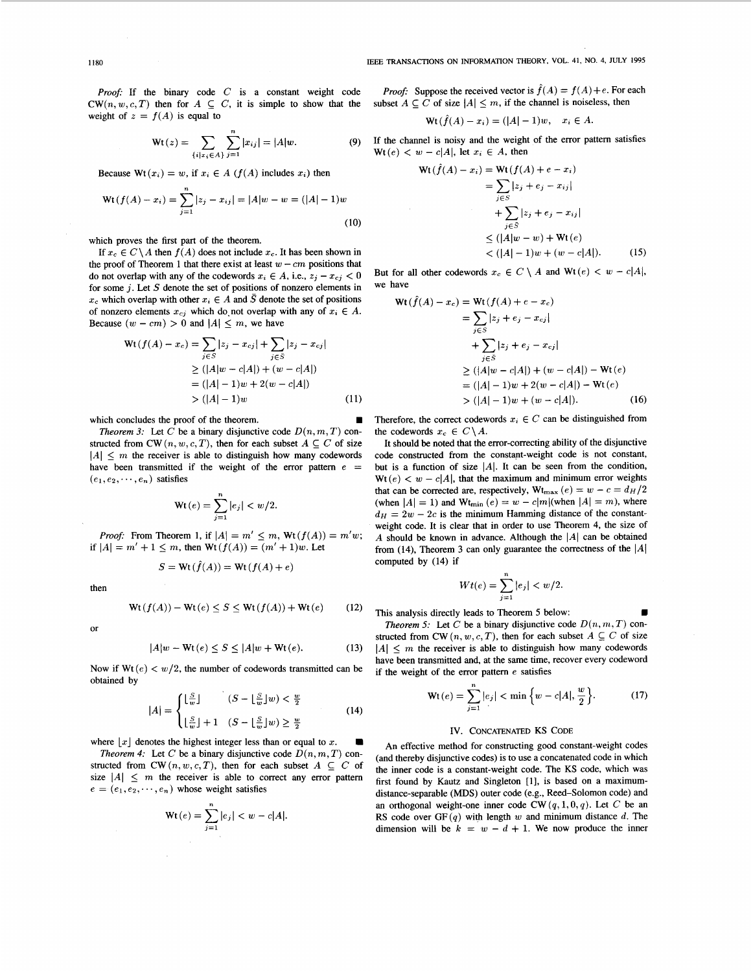*Proof:* If the binary code *C* is a constant weight code  $CW(n, w, c, T)$  then for  $A \subseteq C$ , it is simple to show that the weight of  $z = f(A)$  is equal to

$$
f(A) \text{ is equal to}
$$
  

$$
Wt(z) = \sum_{\{i|x_i \in A\}} \sum_{j=1}^n |x_{ij}| = |A|w.
$$
 (9)

Because  $Wt(x_i) = w$ , if  $x_i \in A$  ( $f(A)$  includes  $x_i$ ) then

$$
\text{Wt}(f(A) - x_i) = \sum_{j=1}^{n} |z_j - x_{ij}| = |A|w - w = (|A| - 1)w
$$
\n(10)

which proves the first part of the theorem.

If  $x_c \in C \setminus A$  then  $f(A)$  does not include  $x_c$ . It has been shown in the proof of Theorem 1 that there exist at least  $w - cm$  positions that do not overlap with any of the codewords  $x_i \in A$ , i.e.,  $z_i - x_{ci} < 0$ for some *j.* Let *S* denote the set of positions of nonzero elements in  $x_c$  which overlap with other  $x_i \in A$  and  $\overline{S}$  denote the set of positions of nonzero elements  $x_{cj}$  which do not overlap with any of  $x_i \in A$ . Because  $(w - cm) > 0$  and  $|A| \le m$ , we have

$$
\begin{aligned} \text{Wt}(f(A) - x_c) &= \sum_{j \in S} |z_j - x_{cj}| + \sum_{j \in S} |z_j - x_{cj}| \\ &\ge (|A|w - c|A|) + (w - c|A|) \\ &= (|A| - 1)w + 2(w - c|A|) \\ &> (|A| - 1)w \end{aligned} \tag{11}
$$

which concludes the proof of the theorem.

*Theorem 3:* Let *C* be a binary disjunctive code  $D(n, m, T)$  constructed from CW  $(n, w, c, T)$ , then for each subset  $A \subseteq C$  of size  $|A| \leq m$  the receiver is able to distinguish how many codewords have been transmitted if the weight of the error pattern  $e =$  $(e_1, e_2, \dots, e_n)$  satisfies

$$
\text{Wt}(e) = \sum_{j=1}^{n} |e_j| < w/2.
$$

*Proof:* From Theorem 1, if  $|A| = m' \le m$ ,  $Wt(f(A)) = m'w$ ; if  $|A| = m' + 1 \le m$ , then  $Wt(f(A)) = (m' + 1)w$ . Let

$$
S = \operatorname{Wt}(\hat{f}(A)) = \operatorname{Wt}(f(A) + e)
$$

then

$$
\operatorname{Wt}(f(A)) - \operatorname{Wt}(e) \le S \le \operatorname{Wt}(f(A)) + \operatorname{Wt}(e) \tag{12}
$$

or

$$
|A|w - \text{Wt}(e) \le S \le |A|w + \text{Wt}(e). \tag{13}
$$

Now if Wt (e) < w/2, the number of codewords transmitted can be obtained by<br>  $|A| = \begin{cases} \lfloor \frac{S}{w} \rfloor & (S - \lfloor \frac{S}{w} \rfloor w) < \frac{w}{2} \\ (14) & \end{cases}$ obtained by

$$
|A| = \begin{cases} \lfloor \frac{S}{w} \rfloor & (S - \lfloor \frac{S}{w} \rfloor w) < \frac{w}{2} \\ \lfloor \frac{S}{w} \rfloor + 1 & (S - \lfloor \frac{S}{w} \rfloor w) \ge \frac{w}{2} \end{cases} \tag{14}
$$

where  $\lfloor x \rfloor$  denotes the highest integer less than or equal to x.

*Theorem 4:* Let *C* be a binary disjunctive code  $D(n, m, T)$  constructed from CW  $(n, w, c, T)$ , then for each subset  $A \subseteq C$  of size  $|A| \leq m$  the receiver is able to correct any error pattern  $e = (e_1, e_2, \dots, e_n)$  whose weight satisfies

$$
\mathbf{Wt}(e) = \sum_{j=1}^{n} |e_j| < w - c|A|
$$

*Proof:* Suppose the received vector is  $\hat{f}(A) = f(A) + e$ . For each subset  $A \subseteq C$  of size  $|A| \leq m$ , if the channel is noiseless, then

$$
\text{Wt}(\hat{f}(A) - x_i) = (|A| - 1)w, \quad x_i \in A.
$$

If the channel is noisy and the weight of the error pattern satisfies Wt(e)  $\lt w - c|A|$ , let  $x_i \in A$ , then

$$
\begin{aligned} \n\text{Wt}(\hat{f}(A) - x_i) &= \text{Wt}(f(A) + e - x_i) \\ \n&= \sum_{j \in S} |z_j + e_j - x_{ij}| \\ \n&+ \sum_{j \in S} |z_j + e_j - x_{ij}| \\ \n&\le (|A|w - w) + \text{Wt}(e) \\ \n&< (|A| - 1)w + (w - c|A|). \n\end{aligned} \tag{15}
$$

But for all other codewords  $x_c \in C \setminus A$  and  $Wt(e) < w - c|A|$ , we have

$$
\begin{aligned} \n\text{Wt}(f(A) - x_c) &= \text{Wt}(f(A) + e - x_c) \\ \n&= \sum_{j \in S} |z_j + e_j - x_{cj}| \\ \n&+ \sum_{j \in S} |z_j + e_j - x_{cj}| \\ \n&\ge (|A|w - c|A|) + (w - c|A|) - \text{Wt}(e) \\ \n&= (|A| - 1)w + 2(w - c|A|) - \text{Wt}(e) \\ \n&> (|A| - 1)w + (w - c|A|). \n\end{aligned}
$$

Therefore, the correct codewords  $x_i \in C$  can be distinguished from the codewords  $x_c \in C \backslash A$ .

It should be noted that the error-correcting ability of the disjunctive code constructed from the constant-weight code is not constant, but is a function of size  $|A|$ . It can be seen from the condition,  $Wt(e) < w - c|A|$ , that the maximum and minimum error weights that can be corrected are, respectively,  $Wt_{\text{max}}(e) = w - c = d_H/2$ (when  $|A| = 1$ ) and  $W_{\text{tmin}}(e) = w - c|m|$  (when  $|A| = m$ ), where  $d_H = 2w - 2c$  is the minimum Hamming distance of the constantweight code. It is clear that in order to use Theorem 4, the size of A should be known in advance. Although the  $|A|$  can be obtained from (14), Theorem 3 can only guarantee the correctness of the  $|A|$ computed by **(14)** if

$$
Wt(e) = \sum_{j=1}^{n} |e_j| < w/2.
$$

This analysis directly leads to Theorem 5 below:

*Theorem 5:* Let *C* be a binary disjunctive code  $D(n, m, T)$  constructed from CW  $(n, w, c, T)$ , then for each subset  $A \subseteq C$  of size  $|A| \le m$  the receiver is able to distinguish how many codewords have been transmitted and, at the same time, recover every codeword if the weight of the error pattern e satisfies

$$
Wt(e) = \sum_{j=1}^{n} |e_j| < \min\left\{w - c|A|, \frac{w}{2}\right\}.\tag{17}
$$

# IV. CONCATENATED KS CODE

An effective method for constructing good constant-weight codes (and thereby disjunctive codes) is to use a concatenated code in which the inner code is a constant-weight code. The KS code, which was first found by Kautz and Singleton **[l],** is based on a maximumdistance-separable (MDS) outer code (e.g., Reed-Solomon code) and an orthogonal weight-one inner code  $CW(q, 1, 0, q)$ . Let  $C$  be an RS code over  $GF(q)$  with length w and minimum distance d. The dimension will be  $k = w - d + 1$ . We now produce the inner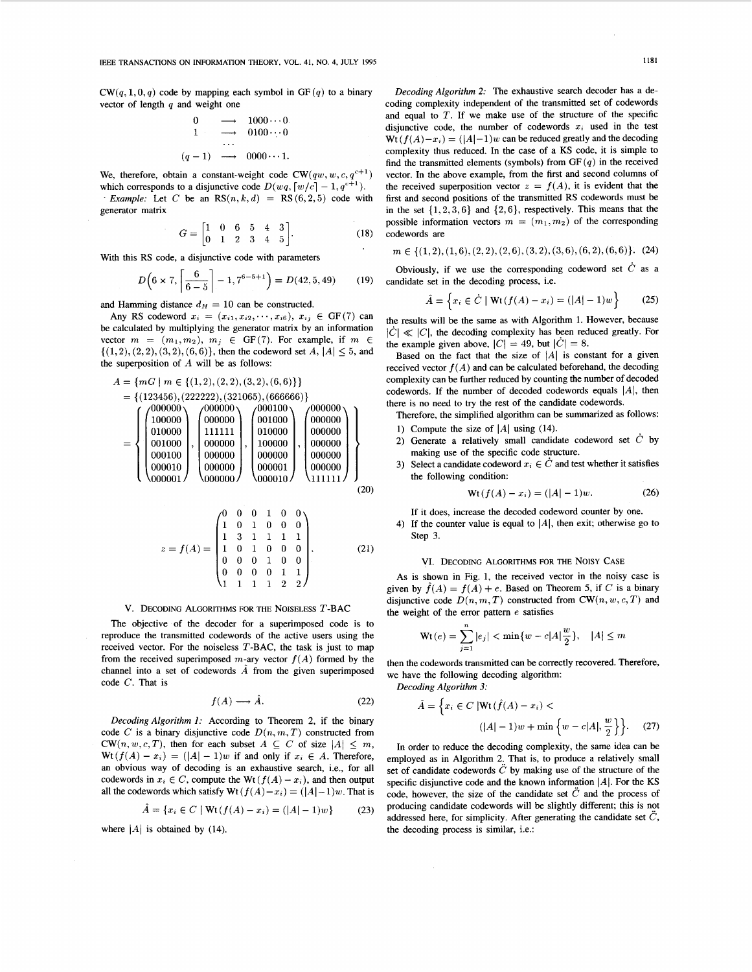CW(q, 1, 0, q) code by mapping each symbol in GF(q) to a binary<br>vector of length q and weight one<br> $0 \longrightarrow 1000 \cdots 0$ <br> $1 \longrightarrow 0100 \cdots 0$ vector of length *q* and weight one

$$
\begin{array}{cccc}\n0 & \longrightarrow & 1000 \cdots 0 \\
1 & \longrightarrow & 0100 \cdots 0 \\
\vdots & \vdots & \ddots & \vdots \\
(q-1) & \longrightarrow & 0000 \cdots 1.\n\end{array}
$$

We, therefore, obtain a constant-weight code  $CW(qw, w, c, q^{c+1})$ which corresponds to a disjunctive code  $D(wq, \lceil w/c \rceil - 1, q^{c+1})$ .

*Example:* Let *C* be an  $RS(n, k, d) = RS(6, 2, 5)$  code with generator matrix

$$
G = \begin{bmatrix} 1 & 0 & 6 & 5 & 4 & 3 \\ 0 & 1 & 2 & 3 & 4 & 5 \end{bmatrix}.
$$
 (18)

With this RS code, a disjunctive code with parameters  

$$
D\left(6 \times 7, \left\lceil \frac{6}{6-5} \right\rceil - 1, 7^{6-5+1}\right) = D(42, 5, 49) \tag{19}
$$

and Hamming distance  $d_H = 10$  can be constructed.

Any RS codeword  $x_i = (x_{i1}, x_{i2}, \dots, x_{i6}), x_{ij} \in GF(7)$  can be calculated by multiplying the generator matrix by an information vector  $m = (m_1, m_2), m_j \in GF(7)$ . For example, if  $m \in$  $\{(1,2), (2,2), (3,2), (6,6)\}\text{, then the codeword set } A, |A| \leq 5, \text{ and }$ the superposition of  $A$  will be as follows:

<sup>A</sup>= {mG I m E {(1,2), (2,2), (3,219 **(6,6)1}**  = {(123456),(222222), (321065), *(666666))*  000001 1 ;:E;:], I":" <sup>010000</sup> 000000 ~000000 100000 000000 000000 010000 =I <sup>001000</sup>, , 000000 100000 000000 000100 000000 000000 000000 000000 000010 000000 000001 J11111 000000 000010 

$$
z = f(A) = \begin{pmatrix} 0 & 0 & 0 & 1 & 0 & 0 \\ 1 & 0 & 1 & 0 & 0 & 0 \\ 1 & 3 & 1 & 1 & 1 & 1 \\ 1 & 0 & 1 & 0 & 0 & 0 \\ 0 & 0 & 0 & 1 & 0 & 0 \\ 0 & 0 & 0 & 0 & 1 & 1 \\ 1 & 1 & 1 & 1 & 2 & 2 \end{pmatrix}.
$$
 (21)

## V. DECODING ALGORITHMS FOR THE NOISELESS T-BAC

The objective of the decoder for a superimposed code is to reproduce the transmitted codewords of the active users using the received vector. For the noiseless  $T$ -BAC, the task is just to map from the received superimposed m-ary vector  $f(A)$  formed by the channel into a set of codewords  $\hat{A}$  from the given superimposed code C. That is<br>  $f(A) \longrightarrow \hat{A}$ . (22) code C. That is

$$
f(A) \longrightarrow \hat{A}.\tag{22}
$$

*Decoding Algorithm 1:* According to Theorem 2, if the binary code *C* is a binary disjunctive code  $D(n, m, T)$  constructed from  $CW(n, w, c, T)$ , then for each subset  $A \subseteq C$  of size  $|A| \leq m$ ,  $Wt(f(A) - x_i) = (|A| - 1)w$  if and only if  $x_i \in A$ . Therefore, an obvious way of decoding is an exhaustive search, i.e., for all codewords in  $x_i \in C$ , compute the Wt  $(f(A) - x_i)$ , and then output all the codewords which satisfy  $Wt (f(A) - x_i) = (|A| - 1)w$ . That is

$$
\hat{A} = \{x_i \in C \mid \text{Wt}(f(A) - x_i) = (|A| - 1)w\}
$$
 (23)

*Decoding Algorithm 2:* The exhaustive search decoder has a decoding complexity independent of the transmitted set of codewords and equal to  $T$ . If we make use of the structure of the specific disjunctive code, the number of codewords  $x_i$  used in the test  $Wt(f(A)-x_i) = (|A|-1)w$  can be reduced greatly and the decoding complexity thus reduced. In the case of a KS code, it is simple to find the transmitted elements (symbols) from  $GF(q)$  in the received vector. In the above example, from the first and second columns of the received superposition vector  $z = f(A)$ , it is evident that the first and second positions of the transmitted RS codewords must be in the set  $\{1,2,3,6\}$  and  $\{2,6\}$ , respectively. This means that the possible information vectors  $m = (m_1, m_2)$  of the corresponding codewords are

$$
m \in \{(1,2), (1,6), (2,2), (2,6), (3,2), (3,6), (6,2), (6,6)\}.
$$
 (24)

Obviously, if we use the corresponding codeword set  $\dot{C}$  as a candidate set in the decoding process, i.e.

$$
\hat{A} = \left\{ x_i \in \hat{C} \mid \text{Wt}(f(A) - x_i) = (|A| - 1)w \right\}
$$
 (25)

the results will be the same as with Algorithm 1. However, because  $|C| \ll |C|$ , the decoding complexity has been reduced greatly. For the example given above,  $|C| = 49$ , but  $|\dot{C}| = 8$ .

Based on the fact that the size of  $|A|$  is constant for a given received vector  $f(A)$  and can be calculated beforehand, the decoding complexity can be further reduced by counting the number of decoded codewords. If the number of decoded codewords equals  $|A|$ , then there is no need to try the rest of the candidate codewords.

Therefore, the simplified algorithm can be summarized as follows:

- 1) Compute the size of  $|A|$  using (14).
- Generate a relatively small candidate codeword set  $\dot{C}$  by making use of the specific code structure.
- 3) Select a candidate codeword  $x_i \in C$  and test whether it satisfies the following condition:

$$
\mathbf{Wt}(f(A) - x_i) = (|A| - 1)w.
$$
 (26)

If it does, increase the decoded codeword counter by one.

4) If the counter value is equal to  $|A|$ , then exit; otherwise go to Step 3.

## VI. DECODING ALGORITHMS FOR THE NOISY CASE

As is shown in Fig. 1, the received vector in the noisy case is given by  $f(A) = f(A) + e$ . Based on Theorem 5, if *C* is a binary disjunctive code  $D(n, m, T)$  constructed from CW $(n, w, c, T)$  and the weight of the error pattern  $e$  satisfies

$$
\text{Wt}(e) = \sum_{j=1}^{n} |e_j| < \min\{w - c|A|\frac{w}{2}\}, \quad |A| \leq m
$$

then the codewords transmitted can be correctly recovered. Therefore, we have the following decoding algorithm:

*Decoding Algorithm 3:* 

$$
\hat{A} = \left\{ x_i \in C \, |\text{Wt}(\hat{f}(A) - x_i) < \\
 (|A| - 1)w + \min \left\{ w - c|A|, \frac{w}{2} \right\} \right\}. \tag{27}
$$

In order to reduce the decoding complexity, the same idea can be employed as in Algorithm 2, That is, to produce a relatively small set of candidate codewords  $\ddot{C}$  by making use of the structure of the specific disjunctive code and the known information  $|A|$ . For the KS code, however, the size of the candidate set  $\ddot{C}$  and the process of producing candidate codewords will be slightly different; this is not addressed here, for simplicity. After generating the candidate set  $\ddot{C}$ , where  $|A|$  is obtained by (14). the decoding process is similar, i.e.: